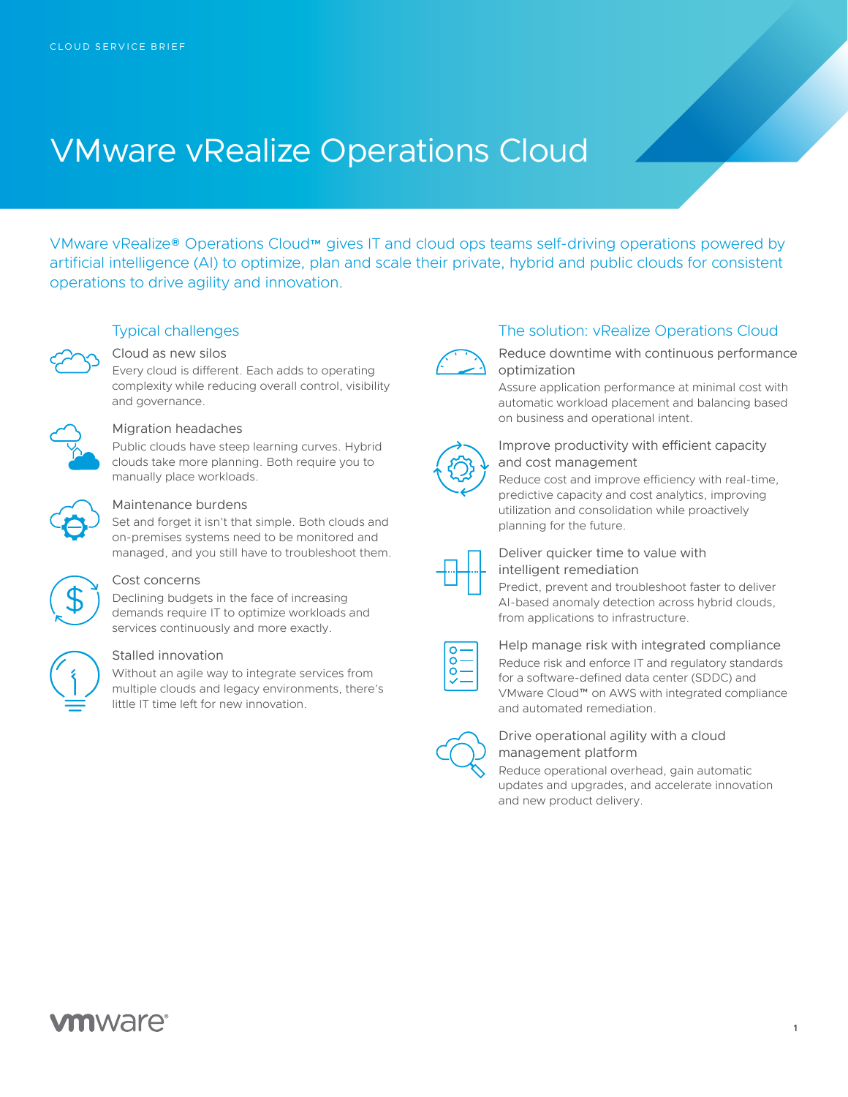# VMware vRealize Operations Cloud

VMware vRealize® Operations Cloud™ gives IT and cloud ops teams self-driving operations powered by artificial intelligence (AI) to optimize, plan and scale their private, hybrid and public clouds for consistent operations to drive agility and innovation.



### Typical challenges

Cloud as new silos

Every cloud is different. Each adds to operating complexity while reducing overall control, visibility and governance.



#### Migration headaches

Public clouds have steep learning curves. Hybrid clouds take more planning. Both require you to manually place workloads.



#### Maintenance burdens

Set and forget it isn't that simple. Both clouds and on-premises systems need to be monitored and managed, and you still have to troubleshoot them.



#### Cost concerns

Declining budgets in the face of increasing demands require IT to optimize workloads and services continuously and more exactly.



#### Stalled innovation

Without an agile way to integrate services from multiple clouds and legacy environments, there's little IT time left for new innovation.



#### The solution: vRealize Operations Cloud

Reduce downtime with continuous performance optimization

Assure application performance at minimal cost with automatic workload placement and balancing based on business and operational intent.



#### Improve productivity with efficient capacity and cost management

Reduce cost and improve efficiency with real-time, predictive capacity and cost analytics, improving utilization and consolidation while proactively planning for the future.



#### Deliver quicker time to value with intelligent remediation

Predict, prevent and troubleshoot faster to deliver AI-based anomaly detection across hybrid clouds, from applications to infrastructure.

Help manage risk with integrated compliance Reduce risk and enforce IT and regulatory standards for a software-defined data center (SDDC) and VMware Cloud™ on AWS with integrated compliance and automated remediation.



#### Drive operational agility with a cloud management platform

Reduce operational overhead, gain automatic updates and upgrades, and accelerate innovation and new product delivery.

## **vm**ware<sup>®</sup>